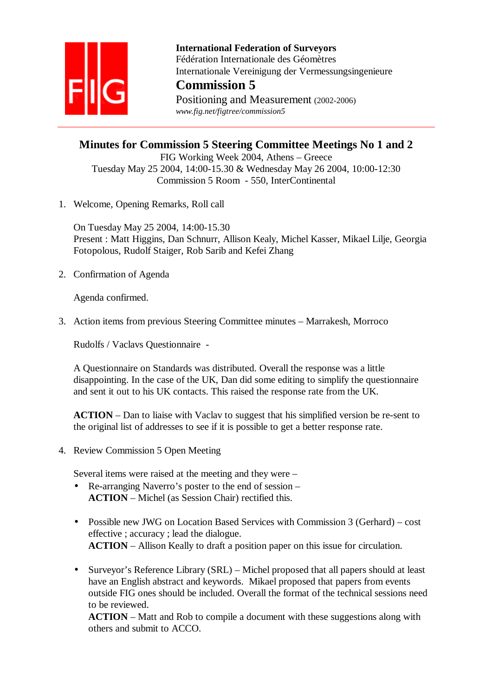

 **International Federation of Surveyors**  Fédération Internationale des Géomètres Internationale Vereinigung der Vermessungsingenieure

# **Commission 5**

Positioning and Measurement (2002-2006)  *www.fig.net/figtree/commission5* 

# **Minutes for Commission 5 Steering Committee Meetings No 1 and 2**

FIG Working Week 2004, Athens – Greece Tuesday May 25 2004, 14:00-15.30 & Wednesday May 26 2004, 10:00-12:30 Commission 5 Room - 550, InterContinental

1. Welcome, Opening Remarks, Roll call

On Tuesday May 25 2004, 14:00-15.30 Present : Matt Higgins, Dan Schnurr, Allison Kealy, Michel Kasser, Mikael Lilje, Georgia Fotopolous, Rudolf Staiger, Rob Sarib and Kefei Zhang

2. Confirmation of Agenda

Agenda confirmed.

3. Action items from previous Steering Committee minutes – Marrakesh, Morroco

Rudolfs / Vaclavs Questionnaire -

A Questionnaire on Standards was distributed. Overall the response was a little disappointing. In the case of the UK, Dan did some editing to simplify the questionnaire and sent it out to his UK contacts. This raised the response rate from the UK.

**ACTION** – Dan to liaise with Vaclav to suggest that his simplified version be re-sent to the original list of addresses to see if it is possible to get a better response rate.

4. Review Commission 5 Open Meeting

Several items were raised at the meeting and they were –

- Re-arranging Naverro's poster to the end of session **ACTION** – Michel (as Session Chair) rectified this.
- Possible new JWG on Location Based Services with Commission 3 (Gerhard) cost effective ; accuracy ; lead the dialogue. **ACTION** – Allison Keally to draft a position paper on this issue for circulation.
- Surveyor's Reference Library (SRL) Michel proposed that all papers should at least have an English abstract and keywords. Mikael proposed that papers from events outside FIG ones should be included. Overall the format of the technical sessions need to be reviewed.

**ACTION** – Matt and Rob to compile a document with these suggestions along with others and submit to ACCO.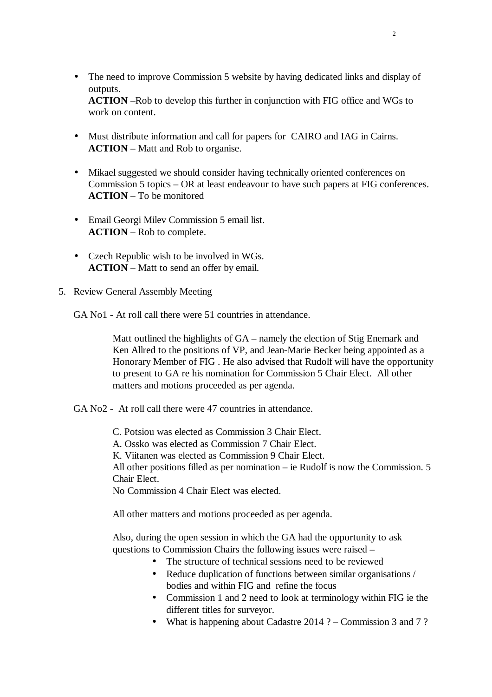• The need to improve Commission 5 website by having dedicated links and display of outputs.

**ACTION** –Rob to develop this further in conjunction with FIG office and WGs to work on content.

- Must distribute information and call for papers for CAIRO and IAG in Cairns. **ACTION** – Matt and Rob to organise.
- Mikael suggested we should consider having technically oriented conferences on Commission 5 topics – OR at least endeavour to have such papers at FIG conferences. **ACTION** – To be monitored
- Email Georgi Milev Commission 5 email list. **ACTION** – Rob to complete.
- Czech Republic wish to be involved in WGs. **ACTION** – Matt to send an offer by email.
- 5. Review General Assembly Meeting

GA No1 - At roll call there were 51 countries in attendance.

Matt outlined the highlights of GA – namely the election of Stig Enemark and Ken Allred to the positions of VP, and Jean-Marie Becker being appointed as a Honorary Member of FIG . He also advised that Rudolf will have the opportunity to present to GA re his nomination for Commission 5 Chair Elect. All other matters and motions proceeded as per agenda.

GA No2 - At roll call there were 47 countries in attendance.

C. Potsiou was elected as Commission 3 Chair Elect.

A. Ossko was elected as Commission 7 Chair Elect.

K. Viitanen was elected as Commission 9 Chair Elect.

All other positions filled as per nomination – ie Rudolf is now the Commission. 5 Chair Elect.

No Commission 4 Chair Elect was elected.

All other matters and motions proceeded as per agenda.

Also, during the open session in which the GA had the opportunity to ask questions to Commission Chairs the following issues were raised –

- The structure of technical sessions need to be reviewed
- Reduce duplication of functions between similar organisations / bodies and within FIG and refine the focus
- Commission 1 and 2 need to look at terminology within FIG ie the different titles for surveyor.
- What is happening about Cadastre 2014 ? Commission 3 and 7 ?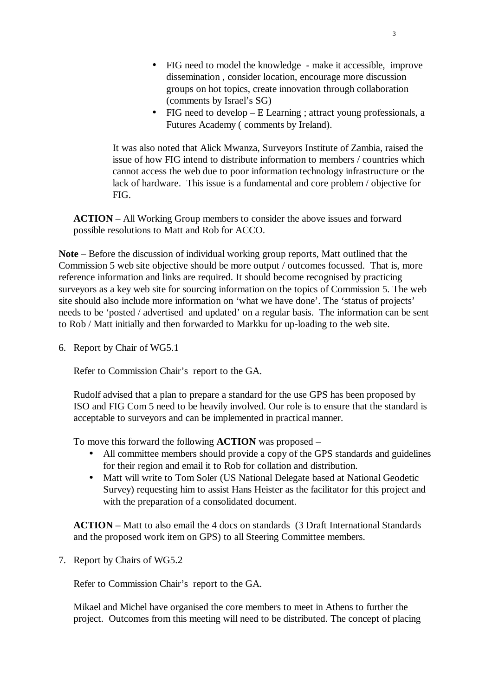- FIG need to model the knowledge make it accessible, improve dissemination , consider location, encourage more discussion groups on hot topics, create innovation through collaboration (comments by Israel's SG)
- FIG need to develop E Learning ; attract young professionals, a Futures Academy ( comments by Ireland).

It was also noted that Alick Mwanza, Surveyors Institute of Zambia, raised the issue of how FIG intend to distribute information to members / countries which cannot access the web due to poor information technology infrastructure or the lack of hardware. This issue is a fundamental and core problem / objective for FIG.

**ACTION** – All Working Group members to consider the above issues and forward possible resolutions to Matt and Rob for ACCO.

**Note** – Before the discussion of individual working group reports, Matt outlined that the Commission 5 web site objective should be more output / outcomes focussed. That is, more reference information and links are required. It should become recognised by practicing surveyors as a key web site for sourcing information on the topics of Commission 5. The web site should also include more information on 'what we have done'. The 'status of projects' needs to be 'posted / advertised and updated' on a regular basis. The information can be sent to Rob / Matt initially and then forwarded to Markku for up-loading to the web site.

6. Report by Chair of WG5.1

Refer to Commission Chair's report to the GA.

Rudolf advised that a plan to prepare a standard for the use GPS has been proposed by ISO and FIG Com 5 need to be heavily involved. Our role is to ensure that the standard is acceptable to surveyors and can be implemented in practical manner.

To move this forward the following **ACTION** was proposed –

- All committee members should provide a copy of the GPS standards and guidelines for their region and email it to Rob for collation and distribution.
- Matt will write to Tom Soler (US National Delegate based at National Geodetic Survey) requesting him to assist Hans Heister as the facilitator for this project and with the preparation of a consolidated document.

**ACTION** – Matt to also email the 4 docs on standards (3 Draft International Standards and the proposed work item on GPS) to all Steering Committee members.

7. Report by Chairs of WG5.2

Refer to Commission Chair's report to the GA.

Mikael and Michel have organised the core members to meet in Athens to further the project. Outcomes from this meeting will need to be distributed. The concept of placing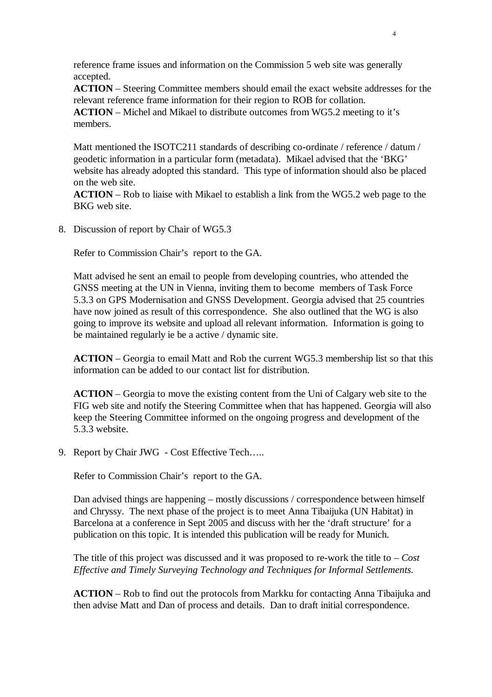reference frame issues and information on the Commission 5 web site was generally accepted.

**ACTION** – Steering Committee members should email the exact website addresses for the relevant reference frame information for their region to ROB for collation.

**ACTION** – Michel and Mikael to distribute outcomes from WG5.2 meeting to it's members.

Matt mentioned the ISOTC211 standards of describing co-ordinate / reference / datum / geodetic information in a particular form (metadata). Mikael advised that the 'BKG' website has already adopted this standard. This type of information should also be placed on the web site.

**ACTION** – Rob to liaise with Mikael to establish a link from the WG5.2 web page to the BKG web site.

8. Discussion of report by Chair of WG5.3

Refer to Commission Chair's report to the GA.

Matt advised he sent an email to people from developing countries, who attended the GNSS meeting at the UN in Vienna, inviting them to become members of Task Force 5.3.3 on GPS Modernisation and GNSS Development. Georgia advised that 25 countries have now joined as result of this correspondence. She also outlined that the WG is also going to improve its website and upload all relevant information. Information is going to be maintained regularly ie be a active / dynamic site.

**ACTION** – Georgia to email Matt and Rob the current WG5.3 membership list so that this information can be added to our contact list for distribution.

**ACTION** – Georgia to move the existing content from the Uni of Calgary web site to the FIG web site and notify the Steering Committee when that has happened. Georgia will also keep the Steering Committee informed on the ongoing progress and development of the 5.3.3 website.

9. Report by Chair JWG - Cost Effective Tech…..

Refer to Commission Chair's report to the GA.

Dan advised things are happening – mostly discussions / correspondence between himself and Chryssy. The next phase of the project is to meet Anna Tibaijuka (UN Habitat) in Barcelona at a conference in Sept 2005 and discuss with her the 'draft structure' for a publication on this topic. It is intended this publication will be ready for Munich.

The title of this project was discussed and it was proposed to re-work the title to – *Cost Effective and Timely Surveying Technology and Techniques for Informal Settlements.*

**ACTION** – Rob to find out the protocols from Markku for contacting Anna Tibaijuka and then advise Matt and Dan of process and details. Dan to draft initial correspondence.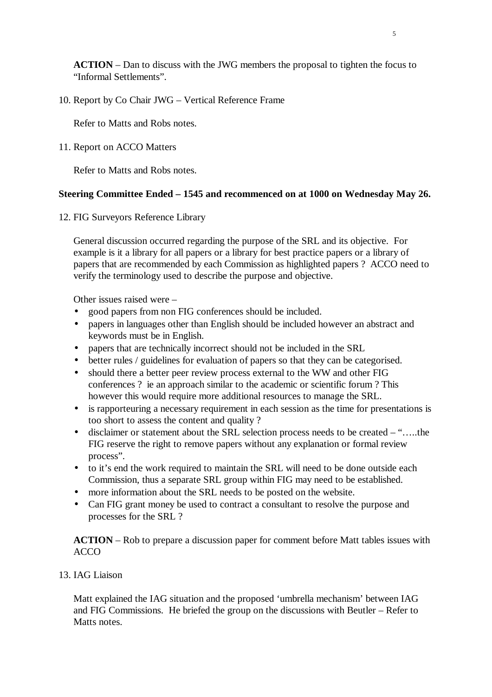**ACTION** – Dan to discuss with the JWG members the proposal to tighten the focus to "Informal Settlements".

10. Report by Co Chair JWG – Vertical Reference Frame

Refer to Matts and Robs notes.

11. Report on ACCO Matters

Refer to Matts and Robs notes.

### **Steering Committee Ended – 1545 and recommenced on at 1000 on Wednesday May 26.**

12. FIG Surveyors Reference Library

General discussion occurred regarding the purpose of the SRL and its objective. For example is it a library for all papers or a library for best practice papers or a library of papers that are recommended by each Commission as highlighted papers ? ACCO need to verify the terminology used to describe the purpose and objective.

Other issues raised were –

- good papers from non FIG conferences should be included.
- papers in languages other than English should be included however an abstract and keywords must be in English.
- papers that are technically incorrect should not be included in the SRL
- better rules / guidelines for evaluation of papers so that they can be categorised.
- should there a better peer review process external to the WW and other FIG conferences ? ie an approach similar to the academic or scientific forum ? This however this would require more additional resources to manage the SRL.
- is rapporteuring a necessary requirement in each session as the time for presentations is too short to assess the content and quality ?
- disclaimer or statement about the SRL selection process needs to be created "…..the FIG reserve the right to remove papers without any explanation or formal review process".
- to it's end the work required to maintain the SRL will need to be done outside each Commission, thus a separate SRL group within FIG may need to be established.
- more information about the SRL needs to be posted on the website.
- Can FIG grant money be used to contract a consultant to resolve the purpose and processes for the SRL ?

**ACTION** – Rob to prepare a discussion paper for comment before Matt tables issues with ACCO

## 13. IAG Liaison

Matt explained the IAG situation and the proposed 'umbrella mechanism' between IAG and FIG Commissions. He briefed the group on the discussions with Beutler – Refer to Matts notes.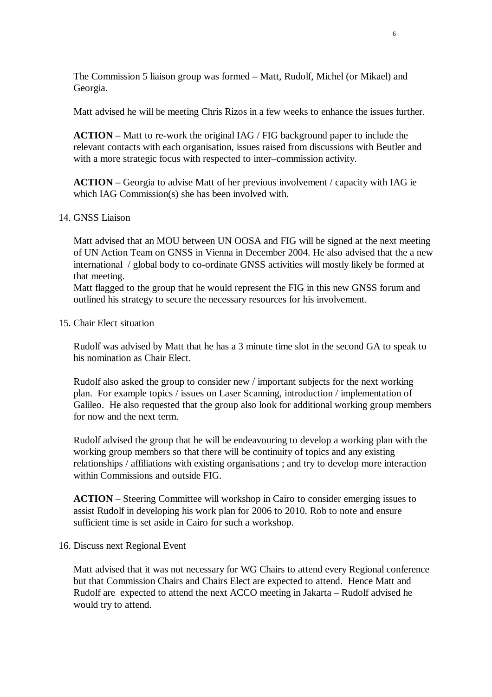The Commission 5 liaison group was formed – Matt, Rudolf, Michel (or Mikael) and Georgia.

Matt advised he will be meeting Chris Rizos in a few weeks to enhance the issues further.

**ACTION** – Matt to re-work the original IAG / FIG background paper to include the relevant contacts with each organisation, issues raised from discussions with Beutler and with a more strategic focus with respected to inter–commission activity.

**ACTION** – Georgia to advise Matt of her previous involvement / capacity with IAG ie which IAG Commission(s) she has been involved with.

#### 14. GNSS Liaison

Matt advised that an MOU between UN OOSA and FIG will be signed at the next meeting of UN Action Team on GNSS in Vienna in December 2004. He also advised that the a new international / global body to co-ordinate GNSS activities will mostly likely be formed at that meeting.

Matt flagged to the group that he would represent the FIG in this new GNSS forum and outlined his strategy to secure the necessary resources for his involvement.

#### 15. Chair Elect situation

Rudolf was advised by Matt that he has a 3 minute time slot in the second GA to speak to his nomination as Chair Elect.

Rudolf also asked the group to consider new / important subjects for the next working plan. For example topics / issues on Laser Scanning, introduction / implementation of Galileo. He also requested that the group also look for additional working group members for now and the next term.

Rudolf advised the group that he will be endeavouring to develop a working plan with the working group members so that there will be continuity of topics and any existing relationships / affiliations with existing organisations ; and try to develop more interaction within Commissions and outside FIG.

**ACTION** – Steering Committee will workshop in Cairo to consider emerging issues to assist Rudolf in developing his work plan for 2006 to 2010. Rob to note and ensure sufficient time is set aside in Cairo for such a workshop.

#### 16. Discuss next Regional Event

Matt advised that it was not necessary for WG Chairs to attend every Regional conference but that Commission Chairs and Chairs Elect are expected to attend. Hence Matt and Rudolf are expected to attend the next ACCO meeting in Jakarta – Rudolf advised he would try to attend.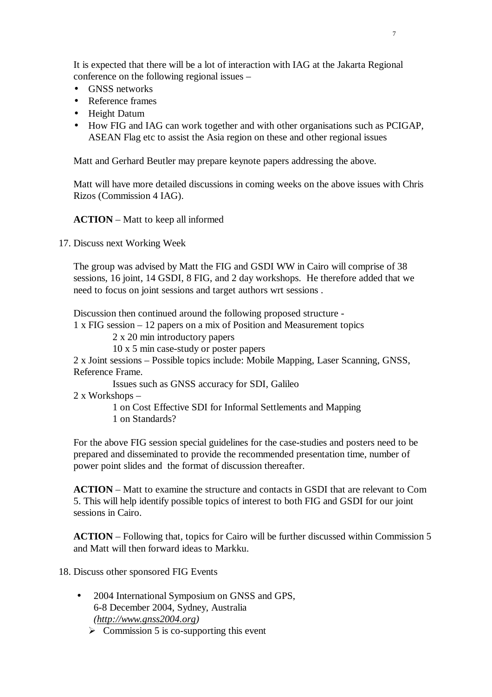It is expected that there will be a lot of interaction with IAG at the Jakarta Regional conference on the following regional issues –

- GNSS networks
- Reference frames
- Height Datum
- How FIG and IAG can work together and with other organisations such as PCIGAP, ASEAN Flag etc to assist the Asia region on these and other regional issues

Matt and Gerhard Beutler may prepare keynote papers addressing the above.

Matt will have more detailed discussions in coming weeks on the above issues with Chris Rizos (Commission 4 IAG).

#### **ACTION** – Matt to keep all informed

17. Discuss next Working Week

The group was advised by Matt the FIG and GSDI WW in Cairo will comprise of 38 sessions, 16 joint, 14 GSDI, 8 FIG, and 2 day workshops. He therefore added that we need to focus on joint sessions and target authors wrt sessions .

Discussion then continued around the following proposed structure -

1 x FIG session – 12 papers on a mix of Position and Measurement topics

2 x 20 min introductory papers

10 x 5 min case-study or poster papers

2 x Joint sessions – Possible topics include: Mobile Mapping, Laser Scanning, GNSS, Reference Frame.

Issues such as GNSS accuracy for SDI, Galileo

2 x Workshops –

 1 on Cost Effective SDI for Informal Settlements and Mapping 1 on Standards?

For the above FIG session special guidelines for the case-studies and posters need to be prepared and disseminated to provide the recommended presentation time, number of power point slides and the format of discussion thereafter.

**ACTION** – Matt to examine the structure and contacts in GSDI that are relevant to Com 5. This will help identify possible topics of interest to both FIG and GSDI for our joint sessions in Cairo.

**ACTION** – Following that, topics for Cairo will be further discussed within Commission 5 and Matt will then forward ideas to Markku.

18. Discuss other sponsored FIG Events

- 2004 International Symposium on GNSS and GPS, 6-8 December 2004, Sydney, Australia *(http://www.gnss2004.org)* 
	- $\triangleright$  Commission 5 is co-supporting this event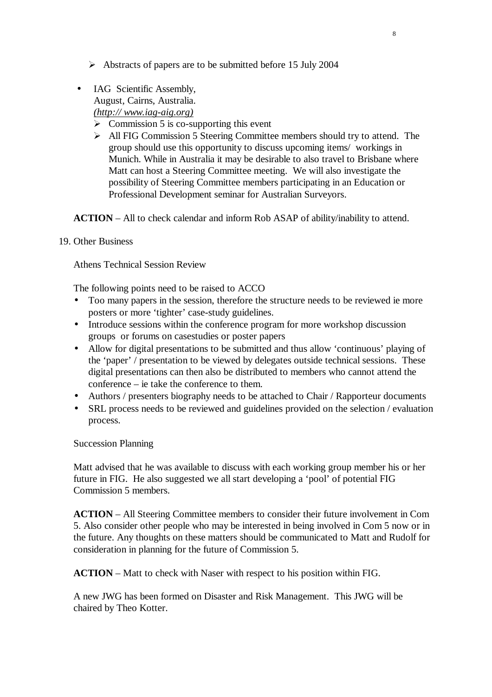- $\triangleright$  Abstracts of papers are to be submitted before 15 July 2004
- IAG Scientific Assembly.

August, Cairns, Australia.

*(http:// www.iag-aig.org)*

- $\triangleright$  Commission 5 is co-supporting this event
- All FIG Commission 5 Steering Committee members should try to attend. The group should use this opportunity to discuss upcoming items/ workings in Munich. While in Australia it may be desirable to also travel to Brisbane where Matt can host a Steering Committee meeting. We will also investigate the possibility of Steering Committee members participating in an Education or Professional Development seminar for Australian Surveyors.

**ACTION** – All to check calendar and inform Rob ASAP of ability/inability to attend.

### 19. Other Business

Athens Technical Session Review

The following points need to be raised to ACCO

- Too many papers in the session, therefore the structure needs to be reviewed ie more posters or more 'tighter' case-study guidelines.
- Introduce sessions within the conference program for more workshop discussion groups or forums on casestudies or poster papers
- Allow for digital presentations to be submitted and thus allow 'continuous' playing of the 'paper' / presentation to be viewed by delegates outside technical sessions. These digital presentations can then also be distributed to members who cannot attend the conference – ie take the conference to them.
- Authors / presenters biography needs to be attached to Chair / Rapporteur documents
- SRL process needs to be reviewed and guidelines provided on the selection / evaluation process.

Succession Planning

Matt advised that he was available to discuss with each working group member his or her future in FIG. He also suggested we all start developing a 'pool' of potential FIG Commission 5 members.

**ACTION** – All Steering Committee members to consider their future involvement in Com 5. Also consider other people who may be interested in being involved in Com 5 now or in the future. Any thoughts on these matters should be communicated to Matt and Rudolf for consideration in planning for the future of Commission 5.

**ACTION** – Matt to check with Naser with respect to his position within FIG.

A new JWG has been formed on Disaster and Risk Management. This JWG will be chaired by Theo Kotter.